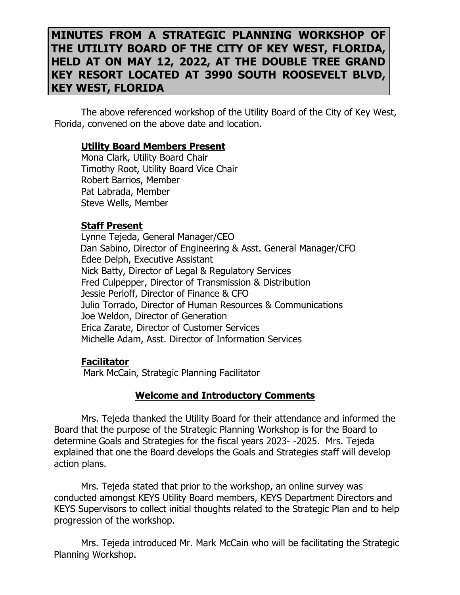# **MINUTES FROM A STRATEGIC PLANNING WORKSHOP OF THE UTILITY BOARD OF THE CITY OF KEY WEST, FLORIDA, HELD AT ON MAY 12, 2022, AT THE DOUBLE TREE GRAND KEY RESORT LOCATED AT 3990 SOUTH ROOSEVELT BLVD, KEY WEST, FLORIDA**

The above referenced workshop of the Utility Board of the City of Key West, Florida, convened on the above date and location.

#### **Utility Board Members Present**

Mona Clark, Utility Board Chair Timothy Root, Utility Board Vice Chair Robert Barrios, Member Pat Labrada, Member Steve Wells, Member

#### **Staff Present**

Lynne Tejeda, General Manager/CEO Dan Sabino, Director of Engineering & Asst. General Manager/CFO Edee Delph, Executive Assistant Nick Batty, Director of Legal & Regulatory Services Fred Culpepper, Director of Transmission & Distribution Jessie Perloff, Director of Finance & CFO Julio Torrado, Director of Human Resources & Communications Joe Weldon, Director of Generation Erica Zarate, Director of Customer Services Michelle Adam, Asst. Director of Information Services

#### **Facilitator**

Mark McCain, Strategic Planning Facilitator

#### **Welcome and Introductory Comments**

Mrs. Tejeda thanked the Utility Board for their attendance and informed the Board that the purpose of the Strategic Planning Workshop is for the Board to determine Goals and Strategies for the fiscal years 2023- -2025. Mrs. Tejeda explained that one the Board develops the Goals and Strategies staff will develop action plans.

Mrs. Tejeda stated that prior to the workshop, an online survey was conducted amongst KEYS Utility Board members, KEYS Department Directors and KEYS Supervisors to collect initial thoughts related to the Strategic Plan and to help progression of the workshop.

Mrs. Tejeda introduced Mr. Mark McCain who will be facilitating the Strategic Planning Workshop.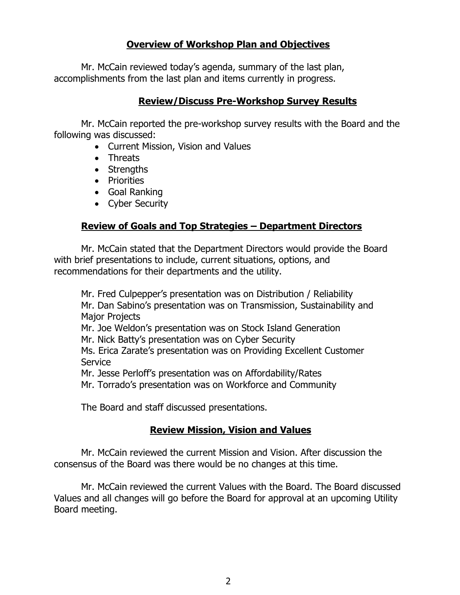# **Overview of Workshop Plan and Objectives**

Mr. McCain reviewed today's agenda, summary of the last plan, accomplishments from the last plan and items currently in progress.

#### **Review/Discuss Pre-Workshop Survey Results**

Mr. McCain reported the pre-workshop survey results with the Board and the following was discussed:

- Current Mission, Vision and Values
- Threats
- Strengths
- Priorities
- Goal Ranking
- Cyber Security

# **Review of Goals and Top Strategies – Department Directors**

 Mr. McCain stated that the Department Directors would provide the Board with brief presentations to include, current situations, options, and recommendations for their departments and the utility.

 Mr. Fred Culpepper's presentation was on Distribution / Reliability Mr. Dan Sabino's presentation was on Transmission, Sustainability and Major Projects Mr. Joe Weldon's presentation was on Stock Island Generation Mr. Nick Batty's presentation was on Cyber Security Ms. Erica Zarate's presentation was on Providing Excellent Customer Service Mr. Jesse Perloff's presentation was on Affordability/Rates Mr. Torrado's presentation was on Workforce and Community

The Board and staff discussed presentations.

### **Review Mission, Vision and Values**

Mr. McCain reviewed the current Mission and Vision. After discussion the consensus of the Board was there would be no changes at this time.

Mr. McCain reviewed the current Values with the Board. The Board discussed Values and all changes will go before the Board for approval at an upcoming Utility Board meeting.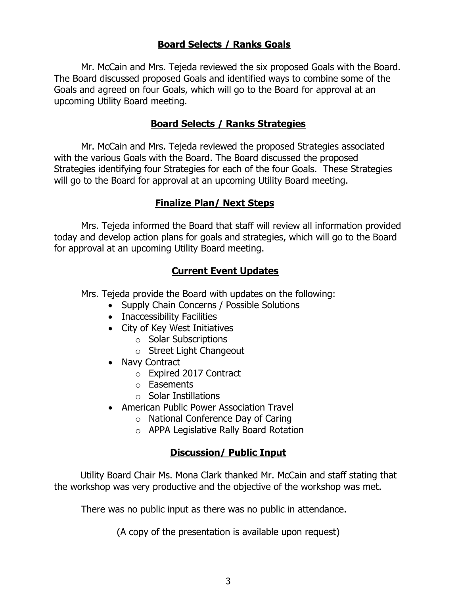# **Board Selects / Ranks Goals**

Mr. McCain and Mrs. Tejeda reviewed the six proposed Goals with the Board. The Board discussed proposed Goals and identified ways to combine some of the Goals and agreed on four Goals, which will go to the Board for approval at an upcoming Utility Board meeting.

#### **Board Selects / Ranks Strategies**

Mr. McCain and Mrs. Tejeda reviewed the proposed Strategies associated with the various Goals with the Board. The Board discussed the proposed Strategies identifying four Strategies for each of the four Goals. These Strategies will go to the Board for approval at an upcoming Utility Board meeting.

#### **Finalize Plan/ Next Steps**

Mrs. Tejeda informed the Board that staff will review all information provided today and develop action plans for goals and strategies, which will go to the Board for approval at an upcoming Utility Board meeting.

### **Current Event Updates**

Mrs. Tejeda provide the Board with updates on the following:

- Supply Chain Concerns / Possible Solutions
- Inaccessibility Facilities
- City of Key West Initiatives
	- o Solar Subscriptions
	- o Street Light Changeout
- Navy Contract
	- o Expired 2017 Contract
	- o Easements
	- o Solar Instillations
- American Public Power Association Travel
	- o National Conference Day of Caring
	- o APPA Legislative Rally Board Rotation

### **Discussion/ Public Input**

Utility Board Chair Ms. Mona Clark thanked Mr. McCain and staff stating that the workshop was very productive and the objective of the workshop was met.

There was no public input as there was no public in attendance.

(A copy of the presentation is available upon request)